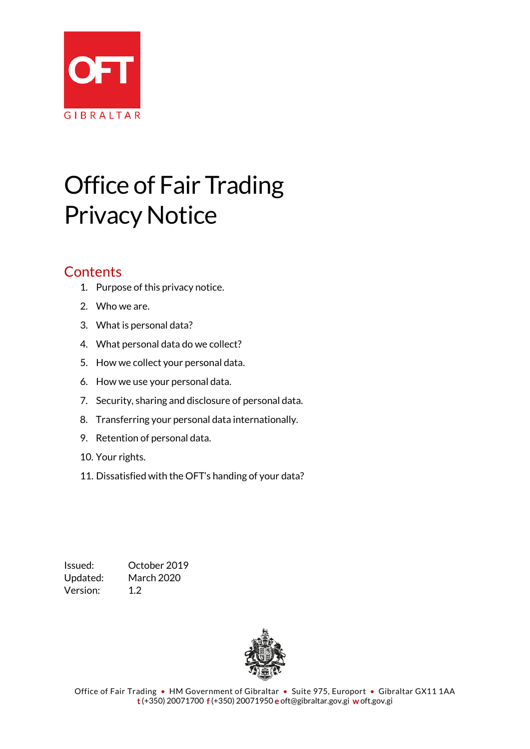

# Office of Fair Trading Privacy Notice

### **Contents**

- 1. Purpose of this privacy notice.
- 2. Who we are.
- 3. What is personal data?
- 4. What personal data do we collect?
- 5. How we collect your personal data.
- 6. How we use your personal data.
- 7. Security, sharing and disclosure of personal data.
- 8. Transferring your personal data internationally.
- 9. Retention of personal data.
- 10. Your rights.
- 11. Dissatisfied with the OFT's handing of your data?

Issued: October 2019 Updated: March 2020 Version: 1.2

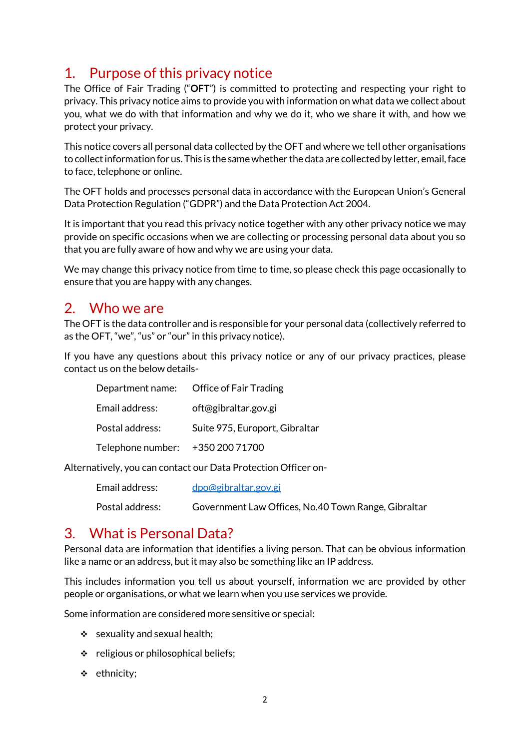### 1. Purpose of this privacy notice

The Office of Fair Trading ("**OFT**") is committed to protecting and respecting your right to privacy. This privacy notice aims to provide you with information on what data we collect about you, what we do with that information and why we do it, who we share it with, and how we protect your privacy.

This notice covers all personal data collected by the OFT and where we tell other organisations to collect information for us. This is the same whether the data are collected by letter, email, face to face, telephone or online.

The OFT holds and processes personal data in accordance with the European Union's General Data Protection Regulation ("GDPR") and the Data Protection Act 2004.

It is important that you read this privacy notice together with any other privacy notice we may provide on specific occasions when we are collecting or processing personal data about you so that you are fully aware of how and why we are using your data.

We may change this privacy notice from time to time, so please check this page occasionally to ensure that you are happy with any changes.

### 2. Who we are

The OFT is the data controller and is responsible for your personal data (collectively referred to as the OFT, "we", "us" or "our" in this privacy notice).

If you have any questions about this privacy notice or any of our privacy practices, please contact us on the below details-

| Email address:                   | oft@gibraltar.gov.gi           |
|----------------------------------|--------------------------------|
| Postal address:                  | Suite 975, Europort, Gibraltar |
| Telephone number: +350 200 71700 |                                |

Alternatively, you can contact our Data Protection Officer on-

| Email address:  | dpo@gibraltar.gov.gi                                |
|-----------------|-----------------------------------------------------|
| Postal address: | Government Law Offices, No.40 Town Range, Gibraltar |

### 3. What is Personal Data?

Personal data are information that identifies a living person. That can be obvious information like a name or an address, but it may also be something like an IP address.

This includes information you tell us about yourself, information we are provided by other people or organisations, or what we learn when you use services we provide.

Some information are considered more sensitive or special:

- $\div$  sexuality and sexual health:
- $\div$  religious or philosophical beliefs;
- $\div$  ethnicity;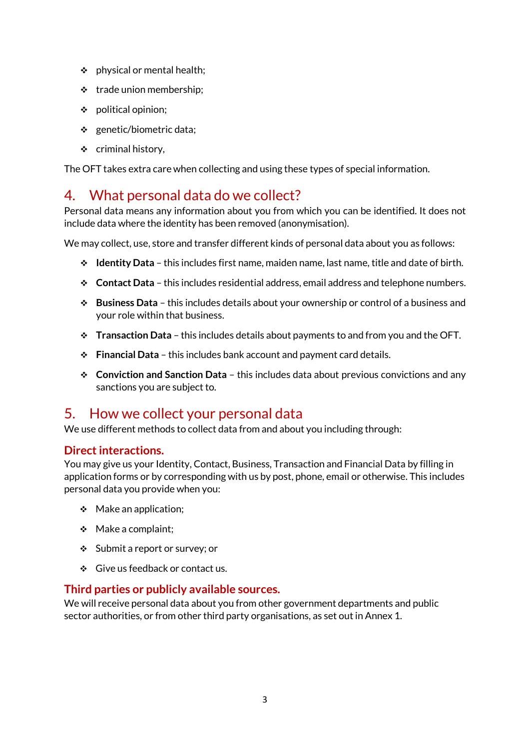- $\div$  physical or mental health;
- $\div$  trade union membership;
- political opinion;
- $\div$  genetic/biometric data;
- $\div$  criminal history,

The OFT takes extra care when collecting and using these types of special information.

### 4. What personal data do we collect?

Personal data means any information about you from which you can be identified. It does not include data where the identity has been removed (anonymisation).

We may collect, use, store and transfer different kinds of personal data about you as follows:

- **Identity Data** this includes first name, maiden name, last name, title and date of birth.
- **Contact Data** this includes residential address, email address and telephone numbers.
- **Business Data** this includes details about your ownership or control of a business and your role within that business.
- **Transaction Data** this includes details about payments to and from you and the OFT.
- **Financial Data** this includes bank account and payment card details.
- **Conviction and Sanction Data** this includes data about previous convictions and any sanctions you are subject to.

### 5. How we collect your personal data

We use different methods to collect data from and about you including through:

#### **Direct interactions.**

You may give us your Identity, Contact, Business, Transaction and Financial Data by filling in application forms or by corresponding with us by post, phone, email or otherwise. This includes personal data you provide when you:

- $\div$  Make an application;
- $\triangleleft$  Make a complaint;
- Submit a report or survey; or
- Give us feedback or contact us.

#### **Third parties or publicly available sources.**

We will receive personal data about you from other government departments and public sector authorities, or from other third party organisations, as set out in Annex 1.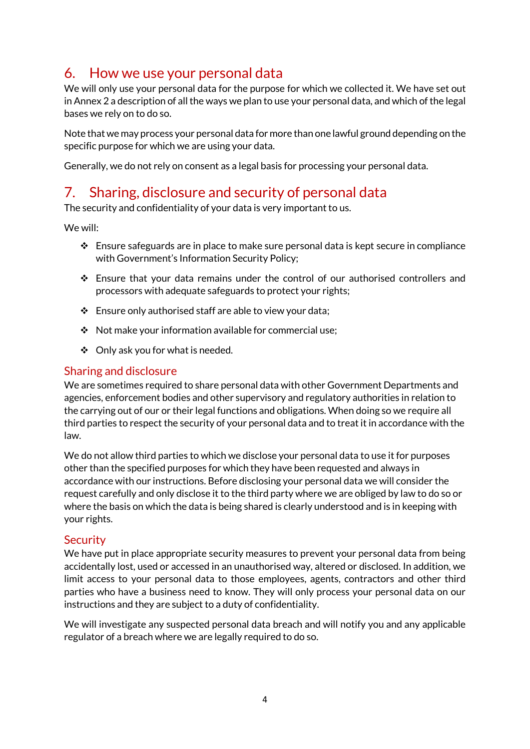### 6. How we use your personal data

We will only use your personal data for the purpose for which we collected it. We have set out in Annex 2 a description of all the ways we plan to use your personal data, and which of the legal bases we rely on to do so.

Note that we may process your personal data for more than one lawful ground depending on the specific purpose for which we are using your data.

Generally, we do not rely on consent as a legal basis for processing your personal data.

### 7. Sharing, disclosure and security of personal data

The security and confidentiality of your data is very important to us.

We will:

- $\cdot \cdot$  Ensure safeguards are in place to make sure personal data is kept secure in compliance with Government's Information Security Policy;
- Ensure that your data remains under the control of our authorised controllers and processors with adequate safeguards to protect your rights;
- $\div$  Ensure only authorised staff are able to view your data;
- $\div$  Not make your information available for commercial use;
- $\div$  Only ask you for what is needed.

#### Sharing and disclosure

We are sometimes required to share personal data with other Government Departments and agencies, enforcement bodies and other supervisory and regulatory authorities in relation to the carrying out of our or their legal functions and obligations. When doing so we require all third parties to respect the security of your personal data and to treat it in accordance with the law.

We do not allow third parties to which we disclose your personal data to use it for purposes other than the specified purposes for which they have been requested and always in accordance with our instructions. Before disclosing your personal data we will consider the request carefully and only disclose it to the third party where we are obliged by law to do so or where the basis on which the data is being shared is clearly understood and is in keeping with your rights.

#### **Security**

We have put in place appropriate security measures to prevent your personal data from being accidentally lost, used or accessed in an unauthorised way, altered or disclosed. In addition, we limit access to your personal data to those employees, agents, contractors and other third parties who have a business need to know. They will only process your personal data on our instructions and they are subject to a duty of confidentiality.

We will investigate any suspected personal data breach and will notify you and any applicable regulator of a breach where we are legally required to do so.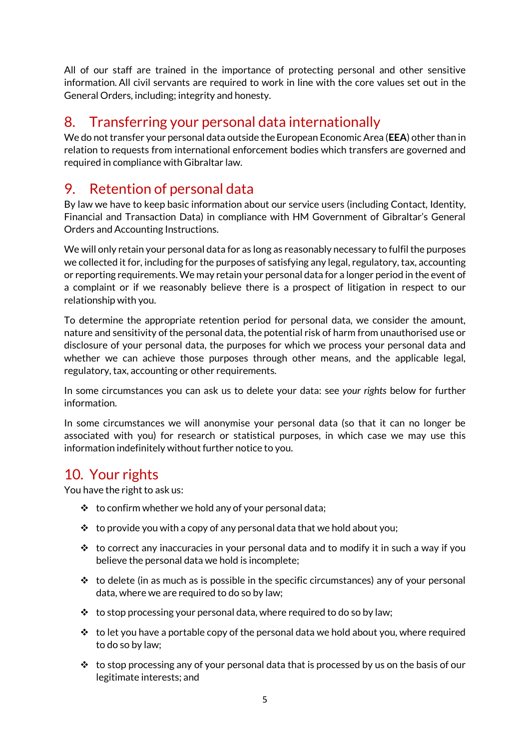All of our staff are trained in the importance of protecting personal and other sensitive information. All civil servants are required to work in line with the core values set out in the General Orders, including; integrity and honesty.

### 8. Transferring your personal data internationally

We do not transfer your personal data outside the European Economic Area (**EEA**) other than in relation to requests from international enforcement bodies which transfers are governed and required in compliance with Gibraltar law.

### 9. Retention of personal data

By law we have to keep basic information about our service users (including Contact, Identity, Financial and Transaction Data) in compliance with HM Government of Gibraltar's General Orders and Accounting Instructions.

We will only retain your personal data for as long as reasonably necessary to fulfil the purposes we collected it for, including for the purposes of satisfying any legal, regulatory, tax, accounting or reporting requirements. We may retain your personal data for a longer period in the event of a complaint or if we reasonably believe there is a prospect of litigation in respect to our relationship with you.

To determine the appropriate retention period for personal data, we consider the amount, nature and sensitivity of the personal data, the potential risk of harm from unauthorised use or disclosure of your personal data, the purposes for which we process your personal data and whether we can achieve those purposes through other means, and the applicable legal, regulatory, tax, accounting or other requirements.

In some circumstances you can ask us to delete your data: see *your rights* below for further information.

In some circumstances we will anonymise your personal data (so that it can no longer be associated with you) for research or statistical purposes, in which case we may use this information indefinitely without further notice to you.

### 10. Your rights

You have the right to ask us:

- $\cdot \cdot$  to confirm whether we hold any of your personal data;
- $\cdot \cdot$  to provide you with a copy of any personal data that we hold about you;
- $\cdot \cdot$  to correct any inaccuracies in your personal data and to modify it in such a way if you believe the personal data we hold is incomplete;
- $\cdot\cdot\cdot$  to delete (in as much as is possible in the specific circumstances) any of your personal data, where we are required to do so by law;
- $\cdot \cdot$  to stop processing your personal data, where required to do so by law;
- $\cdot \cdot$  to let you have a portable copy of the personal data we hold about you, where required to do so by law;
- $\cdot \cdot$  to stop processing any of your personal data that is processed by us on the basis of our legitimate interests; and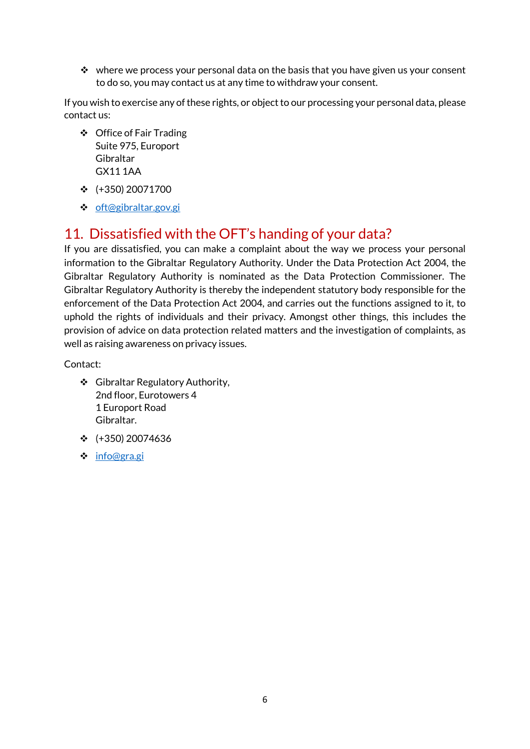$\cdot \cdot$  where we process your personal data on the basis that you have given us your consent to do so, you may contact us at any time to withdraw your consent.

If you wish to exercise any of these rights, or object to our processing your personal data, please contact us:

- ❖ Office of Fair Trading Suite 975, Europort Gibraltar GX11 1AA
- $\div$  (+350) 20071700
- ❖ [oft@gibraltar.gov.gi](mailto:oft@gibraltar.gov.gi)

### 11. Dissatisfied with the OFT's handing of your data?

If you are dissatisfied, you can make a complaint about the way we process your personal information to the Gibraltar Regulatory Authority. Under the Data Protection Act 2004, the Gibraltar Regulatory Authority is nominated as the Data Protection Commissioner. The Gibraltar Regulatory Authority is thereby the independent statutory body responsible for the enforcement of the Data Protection Act 2004, and carries out the functions assigned to it, to uphold the rights of individuals and their privacy. Amongst other things, this includes the provision of advice on data protection related matters and the investigation of complaints, as well as raising awareness on privacy issues.

Contact:

- ❖ Gibraltar Regulatory Authority, 2nd floor, Eurotowers 4 1 Europort Road Gibraltar.
- $\div$  (+350) 20074636
- [info@gra.gi](mailto:info@gra.gi)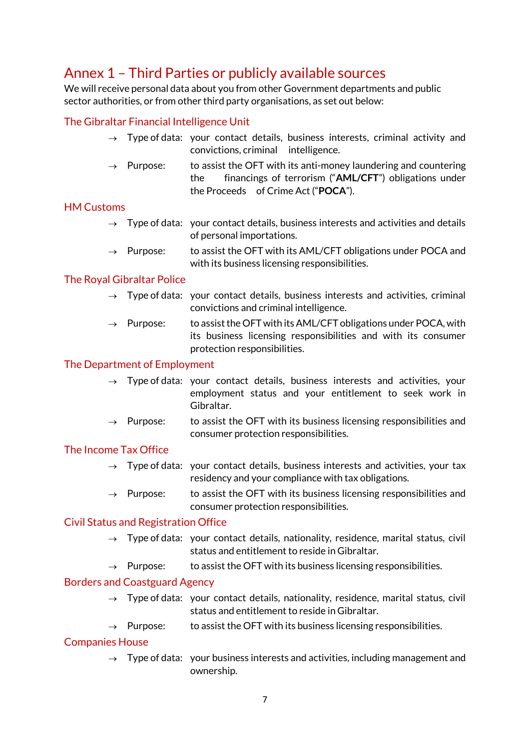### Annex 1 – Third Parties or publicly available sources

We will receive personal data about you from other Government departments and public sector authorities, or from other third party organisations, as set out below:

#### The Gibraltar Financial Intelligence Unit

- $\rightarrow$  Type of data: your contact details, business interests, criminal activity and convictions, criminal intelligence.
- $\rightarrow$  Purpose: to assist the OFT with its anti-money laundering and countering the financings of terrorism ("**AML/CFT**") obligations under the Proceeds of Crime Act ("**POCA**").

#### HM Customs

- $\rightarrow$  Type of data: your contact details, business interests and activities and details of personal importations.
- $\rightarrow$  Purpose: to assist the OFT with its AML/CFT obligations under POCA and with its business licensing responsibilities.

#### The Royal Gibraltar Police

- $\rightarrow$  Type of data: your contact details, business interests and activities, criminal convictions and criminal intelligence.
- $\rightarrow$  Purpose: to assist the OFT with its AML/CFT obligations under POCA, with its business licensing responsibilities and with its consumer protection responsibilities.

#### The Department of Employment

- $\rightarrow$  Type of data: your contact details, business interests and activities, your employment status and your entitlement to seek work in Gibraltar.
- $\rightarrow$  Purpose: to assist the OFT with its business licensing responsibilities and consumer protection responsibilities.

#### The Income Tax Office

- $\rightarrow$  Type of data: your contact details, business interests and activities, your tax residency and your compliance with tax obligations.
- $\rightarrow$  Purpose: to assist the OFT with its business licensing responsibilities and consumer protection responsibilities.

#### Civil Status and Registration Office

- $\rightarrow$  Type of data: your contact details, nationality, residence, marital status, civil status and entitlement to reside in Gibraltar.
- $\rightarrow$  Purpose: to assist the OFT with its business licensing responsibilities.

#### Borders and Coastguard Agency

- $\rightarrow$  Type of data: your contact details, nationality, residence, marital status, civil status and entitlement to reside in Gibraltar.
- $\rightarrow$  Purpose: to assist the OFT with its business licensing responsibilities.

#### Companies House

 $\rightarrow$  Type of data: your business interests and activities, including management and ownership.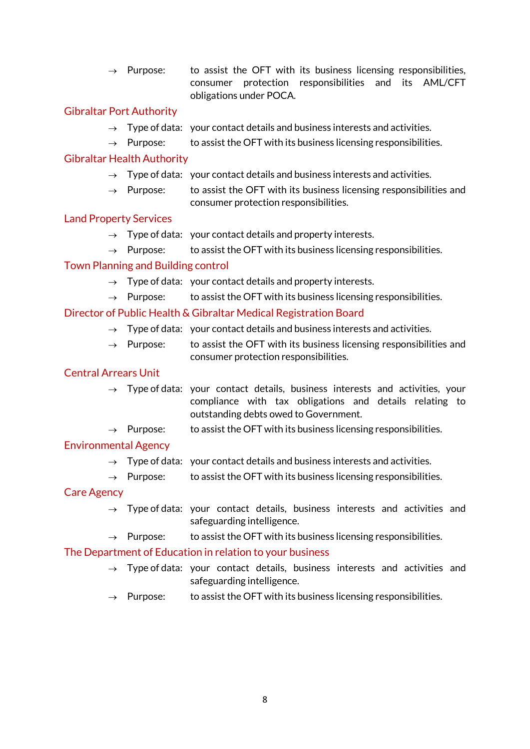$\rightarrow$  Purpose: to assist the OFT with its business licensing responsibilities, consumer protection responsibilities and its AML/CFT obligations under POCA.

#### Gibraltar Port Authority

- $\rightarrow$  Type of data: your contact details and business interests and activities.
- $\rightarrow$  Purpose: to assist the OFT with its business licensing responsibilities.

#### Gibraltar Health Authority

- $\rightarrow$  Type of data: your contact details and business interests and activities.
- $\rightarrow$  Purpose: to assist the OFT with its business licensing responsibilities and consumer protection responsibilities.

#### Land Property Services

- $\rightarrow$  Type of data: your contact details and property interests.
- $\rightarrow$  Purpose: to assist the OFT with its business licensing responsibilities.

#### Town Planning and Building control

- $\rightarrow$  Type of data: your contact details and property interests.
- $\rightarrow$  Purpose: to assist the OFT with its business licensing responsibilities.

#### Director of Public Health & Gibraltar Medical Registration Board

- $\rightarrow$  Type of data: your contact details and business interests and activities.
- $\rightarrow$  Purpose: to assist the OFT with its business licensing responsibilities and consumer protection responsibilities.

#### Central Arrears Unit

- $\rightarrow$  Type of data: your contact details, business interests and activities, your compliance with tax obligations and details relating to outstanding debts owed to Government.
- $\rightarrow$  Purpose: to assist the OFT with its business licensing responsibilities.

#### Environmental Agency

- $\rightarrow$  Type of data: your contact details and business interests and activities.
- $\rightarrow$  Purpose: to assist the OFT with its business licensing responsibilities.

#### Care Agency

- $\rightarrow$  Type of data: your contact details, business interests and activities and safeguarding intelligence.
- $\rightarrow$  Purpose: to assist the OFT with its business licensing responsibilities.

#### The Department of Education in relation to your business

- $\rightarrow$  Type of data: your contact details, business interests and activities and safeguarding intelligence.
- $\rightarrow$  Purpose: to assist the OFT with its business licensing responsibilities.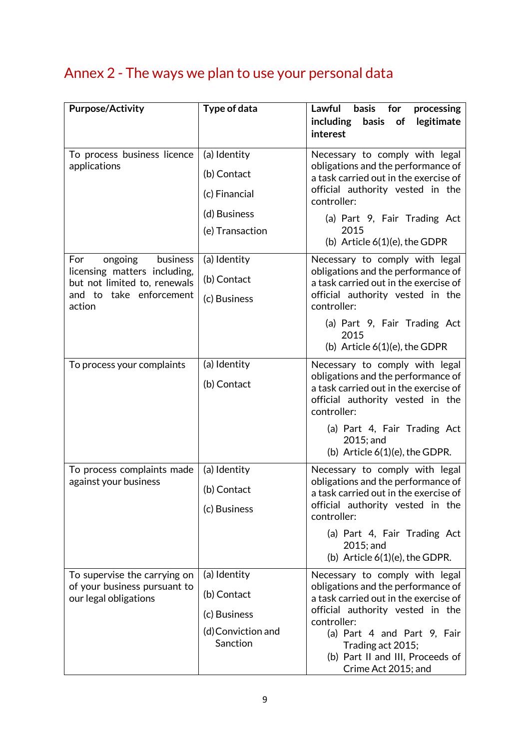## Annex 2 - The ways we plan to use your personal data

| <b>Purpose/Activity</b>                                                                                                         | Type of data                                                                    | Lawful<br>basis<br>for<br>processing<br>including<br>basis<br>of<br>legitimate<br>interest                                                                                                                                                                                      |
|---------------------------------------------------------------------------------------------------------------------------------|---------------------------------------------------------------------------------|---------------------------------------------------------------------------------------------------------------------------------------------------------------------------------------------------------------------------------------------------------------------------------|
| To process business licence<br>applications                                                                                     | (a) Identity<br>(b) Contact<br>(c) Financial<br>(d) Business<br>(e) Transaction | Necessary to comply with legal<br>obligations and the performance of<br>a task carried out in the exercise of<br>official authority vested in the<br>controller:<br>(a) Part 9, Fair Trading Act<br>2015<br>(b) Article $6(1)(e)$ , the GDPR                                    |
| ongoing<br>business<br>For<br>licensing matters including,<br>but not limited to, renewals<br>and to take enforcement<br>action | (a) Identity<br>(b) Contact<br>(c) Business                                     | Necessary to comply with legal<br>obligations and the performance of<br>a task carried out in the exercise of<br>official authority vested in the<br>controller:<br>(a) Part 9, Fair Trading Act<br>2015<br>(b) Article $6(1)(e)$ , the GDPR                                    |
| To process your complaints                                                                                                      | (a) Identity<br>(b) Contact                                                     | Necessary to comply with legal<br>obligations and the performance of<br>a task carried out in the exercise of<br>official authority vested in the<br>controller:<br>(a) Part 4, Fair Trading Act<br>2015; and<br>(b) Article $6(1)(e)$ , the GDPR.                              |
| To process complaints made<br>against your business                                                                             | (a) Identity<br>(b) Contact<br>(c) Business                                     | Necessary to comply with legal<br>obligations and the performance of<br>a task carried out in the exercise of<br>official authority vested in the<br>controller:<br>(a) Part 4, Fair Trading Act<br>2015; and<br>(b) Article $6(1)(e)$ , the GDPR.                              |
| To supervise the carrying on<br>of your business pursuant to<br>our legal obligations                                           | (a) Identity<br>(b) Contact<br>(c) Business<br>(d) Conviction and<br>Sanction   | Necessary to comply with legal<br>obligations and the performance of<br>a task carried out in the exercise of<br>official authority vested in the<br>controller:<br>(a) Part 4 and Part 9, Fair<br>Trading act 2015;<br>(b) Part II and III, Proceeds of<br>Crime Act 2015; and |